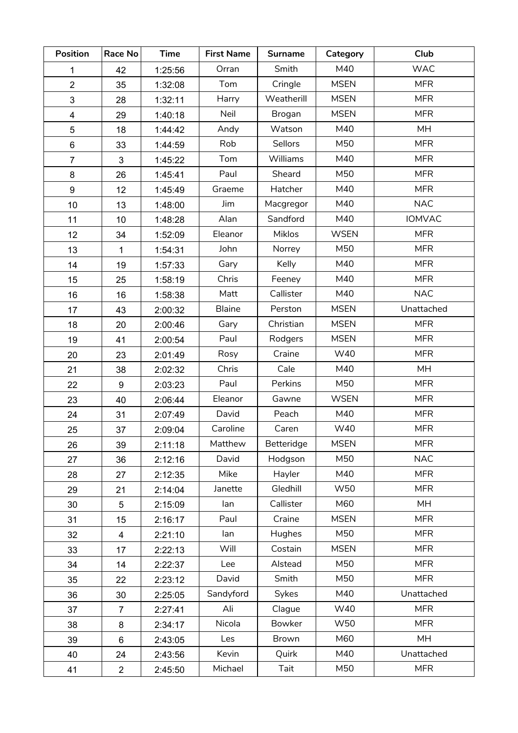| <b>Position</b>         | Race No                 | <b>Time</b> | <b>First Name</b> | <b>Surname</b> | Category    | Club          |
|-------------------------|-------------------------|-------------|-------------------|----------------|-------------|---------------|
| 1                       | 42                      | 1:25:56     | Orran             | Smith          | M40         | <b>WAC</b>    |
| $\overline{2}$          | 35                      | 1:32:08     | Tom               | Cringle        | <b>MSEN</b> | <b>MFR</b>    |
| 3                       | 28                      | 1:32:11     | Harry             | Weatherill     | <b>MSEN</b> | <b>MFR</b>    |
| $\overline{\mathbf{4}}$ | 29                      | 1:40:18     | Neil              | Brogan         | <b>MSEN</b> | <b>MFR</b>    |
| 5                       | 18                      | 1:44:42     | Andy              | Watson         | M40         | <b>MH</b>     |
| 6                       | 33                      | 1:44:59     | Rob               | <b>Sellors</b> | M50         | <b>MFR</b>    |
| $\overline{7}$          | 3                       | 1:45:22     | Tom               | Williams       | M40         | <b>MFR</b>    |
| 8                       | 26                      | 1:45:41     | Paul              | Sheard         | M50         | <b>MFR</b>    |
| 9                       | 12                      | 1:45:49     | Graeme            | Hatcher        | M40         | <b>MFR</b>    |
| 10                      | 13                      | 1:48:00     | Jim               | Macgregor      | M40         | <b>NAC</b>    |
| 11                      | 10                      | 1:48:28     | Alan              | Sandford       | M40         | <b>IOMVAC</b> |
| 12                      | 34                      | 1:52:09     | Eleanor           | Miklos         | <b>WSEN</b> | <b>MFR</b>    |
| 13                      | 1                       | 1:54:31     | John              | Norrey         | M50         | <b>MFR</b>    |
| 14                      | 19                      | 1:57:33     | Gary              | Kelly          | M40         | <b>MFR</b>    |
| 15                      | 25                      | 1:58:19     | Chris             | Feeney         | M40         | <b>MFR</b>    |
| 16                      | 16                      | 1:58:38     | Matt              | Callister      | M40         | <b>NAC</b>    |
| 17                      | 43                      | 2:00:32     | <b>Blaine</b>     | Perston        | <b>MSEN</b> | Unattached    |
| 18                      | 20                      | 2:00:46     | Gary              | Christian      | <b>MSEN</b> | <b>MFR</b>    |
| 19                      | 41                      | 2:00:54     | Paul              | Rodgers        | <b>MSEN</b> | <b>MFR</b>    |
| 20                      | 23                      | 2:01:49     | Rosy              | Craine         | W40         | <b>MFR</b>    |
| 21                      | 38                      | 2:02:32     | Chris             | Cale           | M40         | <b>MH</b>     |
| 22                      | 9                       | 2:03:23     | Paul              | Perkins        | M50         | <b>MFR</b>    |
| 23                      | 40                      | 2:06:44     | Eleanor           | Gawne          | <b>WSEN</b> | <b>MFR</b>    |
| 24                      | 31                      | 2:07:49     | David             | Peach          | M40         | <b>MFR</b>    |
| 25                      | 37                      | 2:09:04     | Caroline          | Caren          | W40         | <b>MFR</b>    |
| 26                      | 39                      | 2:11:18     | Matthew           | Betteridge     | <b>MSEN</b> | <b>MFR</b>    |
| 27                      | 36                      | 2:12:16     | David             | Hodgson        | M50         | <b>NAC</b>    |
| 28                      | 27                      | 2:12:35     | Mike              | Hayler         | M40         | <b>MFR</b>    |
| 29                      | 21                      | 2:14:04     | Janette           | Gledhill       | W50         | <b>MFR</b>    |
| 30                      | 5                       | 2:15:09     | lan               | Callister      | M60         | MH            |
| 31                      | 15                      | 2:16:17     | Paul              | Craine         | <b>MSEN</b> | <b>MFR</b>    |
| 32                      | $\overline{\mathbf{4}}$ | 2:21:10     | lan               | Hughes         | M50         | <b>MFR</b>    |
| 33                      | 17                      | 2:22:13     | Will              | Costain        | <b>MSEN</b> | <b>MFR</b>    |
| 34                      | 14                      | 2:22:37     | Lee               | Alstead        | M50         | <b>MFR</b>    |
| 35                      | 22                      | 2:23:12     | David             | Smith          | M50         | <b>MFR</b>    |
| 36                      | 30                      | 2:25:05     | Sandyford         | Sykes          | M40         | Unattached    |
| 37                      | $\overline{7}$          | 2:27:41     | Ali               | Clague         | W40         | <b>MFR</b>    |
| 38                      | 8                       | 2:34:17     | Nicola            | <b>Bowker</b>  | W50         | <b>MFR</b>    |
| 39                      | 6                       | 2:43:05     | Les               | Brown          | M60         | MH            |
| 40                      | 24                      | 2:43:56     | Kevin             | Quirk          | M40         | Unattached    |
| 41                      | $\overline{2}$          | 2:45:50     | Michael           | Tait           | M50         | <b>MFR</b>    |